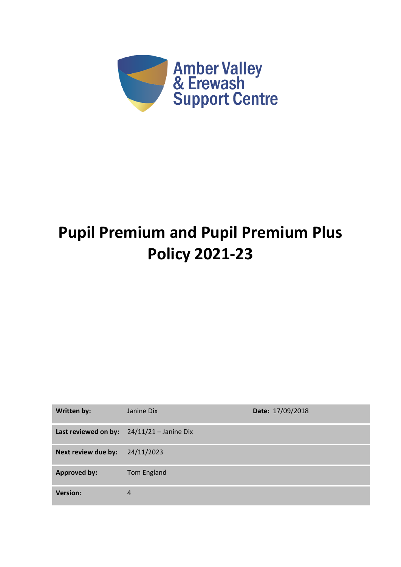

# **Pupil Premium and Pupil Premium Plus Policy 2021-23**

| <b>Written by:</b>  | Janine Dix                                   | Date: 17/09/2018 |
|---------------------|----------------------------------------------|------------------|
|                     | Last reviewed on by: $24/11/21 -$ Janine Dix |                  |
| Next review due by: | 24/11/2023                                   |                  |
| <b>Approved by:</b> | Tom England                                  |                  |
| <b>Version:</b>     | 4                                            |                  |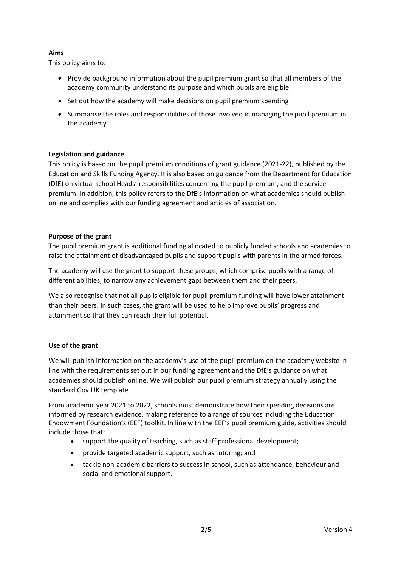# **Aims**

This policy aims to:

- Provide background information about the pupil premium grant so that all members of the academy community understand its purpose and which pupils are eligible
- Set out how the academy will make decisions on pupil premium spending
- Summarise the roles and responsibilities of those involved in managing the pupil premium in the academy.

## **Legislation and guidance**

This policy is based on the pupil premium conditions of grant guidance (2021-22), published by the Education and Skills Funding Agency. It is also based on guidance from the Department for Education (DfE) on virtual school Heads' responsibilities concerning the pupil premium, and the service premium. In addition, this policy refers to the DfE's information on what academies should publish online and complies with our funding agreement and articles of association.

## **Purpose of the grant**

The pupil premium grant is additional funding allocated to publicly funded schools and academies to raise the attainment of disadvantaged pupils and support pupils with parents in the armed forces.

The academy will use the grant to support these groups, which comprise pupils with a range of different abilities, to narrow any achievement gaps between them and their peers.

We also recognise that not all pupils eligible for pupil premium funding will have lower attainment than their peers. In such cases, the grant will be used to help improve pupils' progress and attainment so that they can reach their full potential.

## **Use of the grant**

We will publish information on the academy's use of the pupil premium on the academy website in line with the requirements set out in our funding agreement and the DfE's guidance on what academies should publish online. We will publish our pupil premium strategy annually using the standard Gov.UK template.

From academic year 2021 to 2022, schools must demonstrate how their spending decisions are informed by research evidence, making reference to a range of sources including the Education Endowment Foundation's (EEF) toolkit. In line with the EEF's pupil premium guide, activities should include those that:

- support the quality of teaching, such as staff professional development;
- provide targeted academic support, such as tutoring; and
- tackle non-academic barriers to success in school, such as attendance, behaviour and social and emotional support.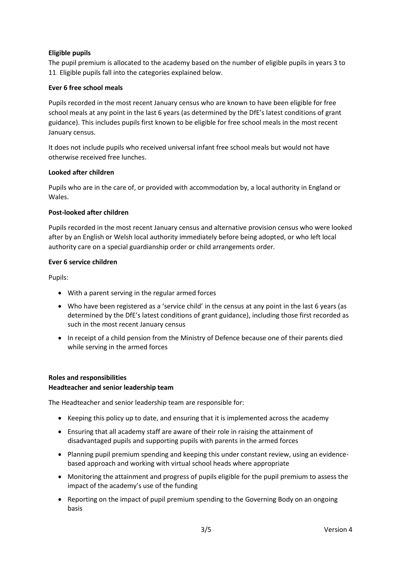## **Eligible pupils**

The pupil premium is allocated to the academy based on the number of eligible pupils in years 3 to 11. Eligible pupils fall into the categories explained below.

## **Ever 6 free school meals**

Pupils recorded in the most recent January census who are known to have been eligible for free school meals at any point in the last 6 years (as determined by the DfE's latest conditions of grant guidance). This includes pupils first known to be eligible for free school meals in the most recent January census.

It does not include pupils who received universal infant free school meals but would not have otherwise received free lunches.

## **Looked after children**

Pupils who are in the care of, or provided with accommodation by, a local authority in England or Wales.

## **Post-looked after children**

Pupils recorded in the most recent January census and alternative provision census who were looked after by an English or Welsh local authority immediately before being adopted, or who left local authority care on a special guardianship order or child arrangements order.

## **Ever 6 service children**

Pupils:

- With a parent serving in the regular armed forces
- Who have been registered as a 'service child' in the census at any point in the last 6 years (as determined by the DfE's latest conditions of grant guidance), including those first recorded as such in the most recent January census
- In receipt of a child pension from the Ministry of Defence because one of their parents died while serving in the armed forces

## **Roles and responsibilities**

## **Headteacher and senior leadership team**

The Headteacher and senior leadership team are responsible for:

- Keeping this policy up to date, and ensuring that it is implemented across the academy
- Ensuring that all academy staff are aware of their role in raising the attainment of disadvantaged pupils and supporting pupils with parents in the armed forces
- Planning pupil premium spending and keeping this under constant review, using an evidencebased approach and working with virtual school heads where appropriate
- Monitoring the attainment and progress of pupils eligible for the pupil premium to assess the impact of the academy's use of the funding
- Reporting on the impact of pupil premium spending to the Governing Body on an ongoing basis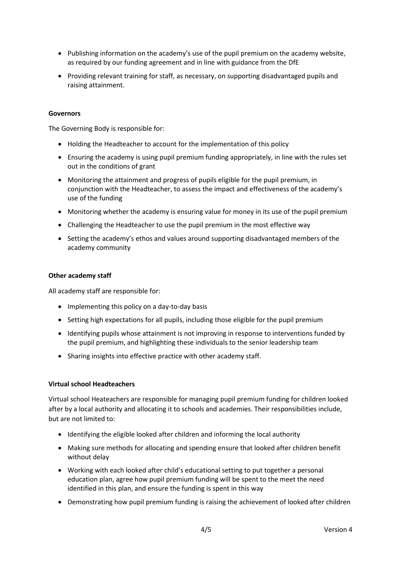- Publishing information on the academy's use of the pupil premium on the academy website, as required by our funding agreement and in line with guidance from the DfE
- Providing relevant training for staff, as necessary, on supporting disadvantaged pupils and raising attainment.

## **Governors**

The Governing Body is responsible for:

- Holding the Headteacher to account for the implementation of this policy
- Ensuring the academy is using pupil premium funding appropriately, in line with the rules set out in the conditions of grant
- Monitoring the attainment and progress of pupils eligible for the pupil premium, in conjunction with the Headteacher, to assess the impact and effectiveness of the academy's use of the funding
- Monitoring whether the academy is ensuring value for money in its use of the pupil premium
- Challenging the Headteacher to use the pupil premium in the most effective way
- Setting the academy's ethos and values around supporting disadvantaged members of the academy community

## **Other academy staff**

All academy staff are responsible for:

- Implementing this policy on a day-to-day basis
- Setting high expectations for all pupils, including those eligible for the pupil premium
- Identifying pupils whose attainment is not improving in response to interventions funded by the pupil premium, and highlighting these individuals to the senior leadership team
- Sharing insights into effective practice with other academy staff.

## **Virtual school Headteachers**

Virtual school Heateachers are responsible for managing pupil premium funding for children looked after by a local authority and allocating it to schools and academies. Their responsibilities include, but are not limited to:

- Identifying the eligible looked after children and informing the local authority
- Making sure methods for allocating and spending ensure that looked after children benefit without delay
- Working with each looked after child's educational setting to put together a personal education plan, agree how pupil premium funding will be spent to the meet the need identified in this plan, and ensure the funding is spent in this way
- Demonstrating how pupil premium funding is raising the achievement of looked after children